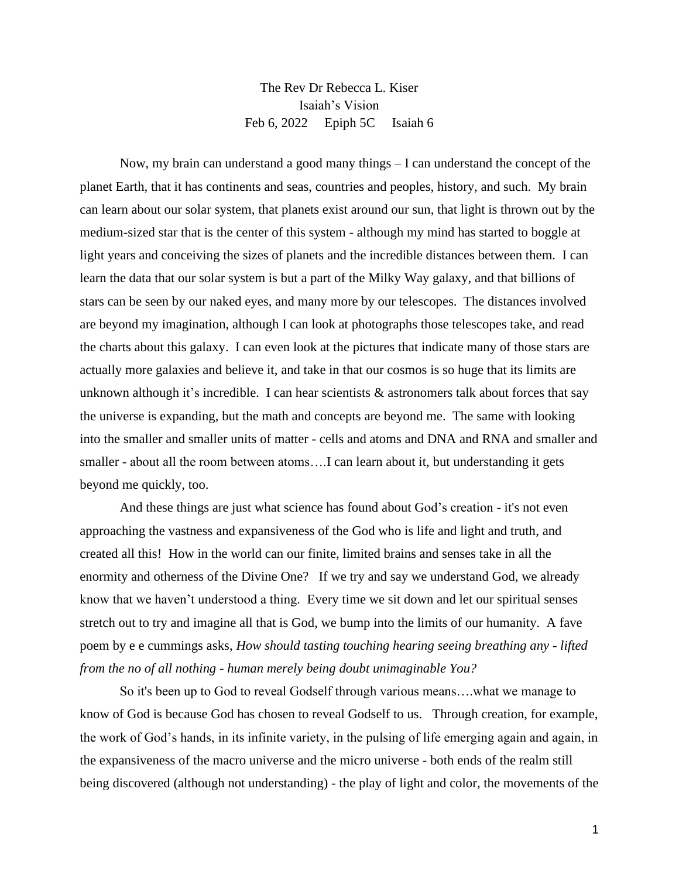## The Rev Dr Rebecca L. Kiser Isaiah's Vision Feb 6, 2022 Epiph 5C Isaiah 6

Now, my brain can understand a good many things – I can understand the concept of the planet Earth, that it has continents and seas, countries and peoples, history, and such. My brain can learn about our solar system, that planets exist around our sun, that light is thrown out by the medium-sized star that is the center of this system - although my mind has started to boggle at light years and conceiving the sizes of planets and the incredible distances between them. I can learn the data that our solar system is but a part of the Milky Way galaxy, and that billions of stars can be seen by our naked eyes, and many more by our telescopes. The distances involved are beyond my imagination, although I can look at photographs those telescopes take, and read the charts about this galaxy. I can even look at the pictures that indicate many of those stars are actually more galaxies and believe it, and take in that our cosmos is so huge that its limits are unknown although it's incredible. I can hear scientists  $\&$  astronomers talk about forces that say the universe is expanding, but the math and concepts are beyond me. The same with looking into the smaller and smaller units of matter - cells and atoms and DNA and RNA and smaller and smaller - about all the room between atoms….I can learn about it, but understanding it gets beyond me quickly, too.

And these things are just what science has found about God's creation - it's not even approaching the vastness and expansiveness of the God who is life and light and truth, and created all this! How in the world can our finite, limited brains and senses take in all the enormity and otherness of the Divine One? If we try and say we understand God, we already know that we haven't understood a thing. Every time we sit down and let our spiritual senses stretch out to try and imagine all that is God, we bump into the limits of our humanity. A fave poem by e e cummings asks, *How should tasting touching hearing seeing breathing any - lifted from the no of all nothing - human merely being doubt unimaginable You?* 

So it's been up to God to reveal Godself through various means….what we manage to know of God is because God has chosen to reveal Godself to us. Through creation, for example, the work of God's hands, in its infinite variety, in the pulsing of life emerging again and again, in the expansiveness of the macro universe and the micro universe - both ends of the realm still being discovered (although not understanding) - the play of light and color, the movements of the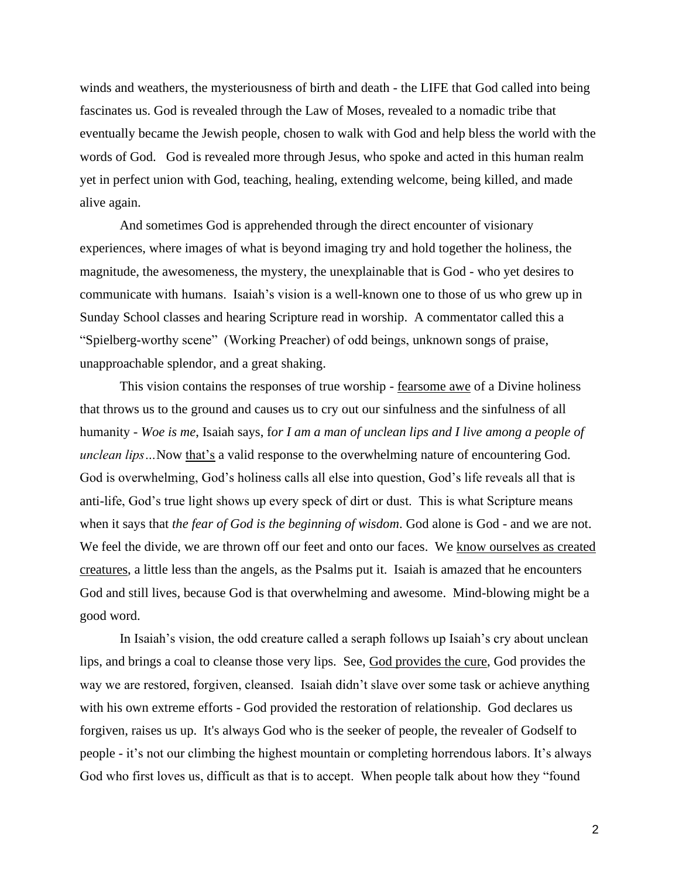winds and weathers, the mysteriousness of birth and death - the LIFE that God called into being fascinates us. God is revealed through the Law of Moses, revealed to a nomadic tribe that eventually became the Jewish people, chosen to walk with God and help bless the world with the words of God. God is revealed more through Jesus, who spoke and acted in this human realm yet in perfect union with God, teaching, healing, extending welcome, being killed, and made alive again.

And sometimes God is apprehended through the direct encounter of visionary experiences, where images of what is beyond imaging try and hold together the holiness, the magnitude, the awesomeness, the mystery, the unexplainable that is God - who yet desires to communicate with humans. Isaiah's vision is a well-known one to those of us who grew up in Sunday School classes and hearing Scripture read in worship. A commentator called this a "Spielberg-worthy scene" (Working Preacher) of odd beings, unknown songs of praise, unapproachable splendor, and a great shaking.

This vision contains the responses of true worship - fearsome awe of a Divine holiness that throws us to the ground and causes us to cry out our sinfulness and the sinfulness of all humanity - *Woe is me*, Isaiah says, f*or I am a man of unclean lips and I live among a people of unclean lips*... Now that's a valid response to the overwhelming nature of encountering God. God is overwhelming, God's holiness calls all else into question, God's life reveals all that is anti-life, God's true light shows up every speck of dirt or dust. This is what Scripture means when it says that *the fear of God is the beginning of wisdom*. God alone is God - and we are not. We feel the divide, we are thrown off our feet and onto our faces. We know ourselves as created creatures, a little less than the angels, as the Psalms put it. Isaiah is amazed that he encounters God and still lives, because God is that overwhelming and awesome. Mind-blowing might be a good word.

In Isaiah's vision, the odd creature called a seraph follows up Isaiah's cry about unclean lips, and brings a coal to cleanse those very lips. See, God provides the cure, God provides the way we are restored, forgiven, cleansed. Isaiah didn't slave over some task or achieve anything with his own extreme efforts - God provided the restoration of relationship. God declares us forgiven, raises us up. It's always God who is the seeker of people, the revealer of Godself to people - it's not our climbing the highest mountain or completing horrendous labors. It's always God who first loves us, difficult as that is to accept. When people talk about how they "found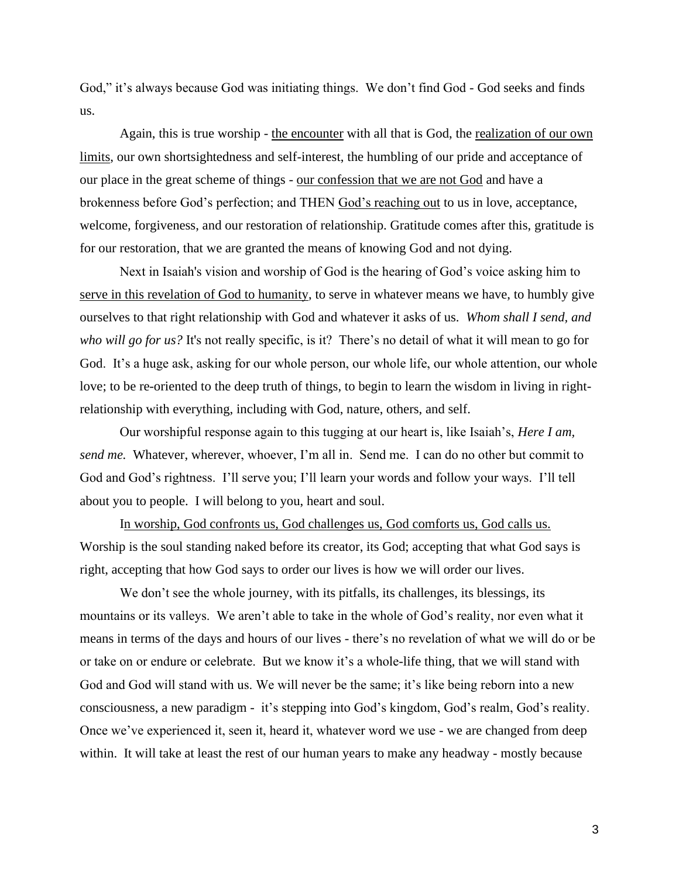God," it's always because God was initiating things. We don't find God - God seeks and finds us.

Again, this is true worship - the encounter with all that is God, the realization of our own limits, our own shortsightedness and self-interest, the humbling of our pride and acceptance of our place in the great scheme of things - our confession that we are not God and have a brokenness before God's perfection; and THEN God's reaching out to us in love, acceptance, welcome, forgiveness, and our restoration of relationship. Gratitude comes after this, gratitude is for our restoration, that we are granted the means of knowing God and not dying.

Next in Isaiah's vision and worship of God is the hearing of God's voice asking him to serve in this revelation of God to humanity, to serve in whatever means we have, to humbly give ourselves to that right relationship with God and whatever it asks of us. *Whom shall I send, and who will go for us?* It's not really specific, is it? There's no detail of what it will mean to go for God. It's a huge ask, asking for our whole person, our whole life, our whole attention, our whole love; to be re-oriented to the deep truth of things, to begin to learn the wisdom in living in rightrelationship with everything, including with God, nature, others, and self.

Our worshipful response again to this tugging at our heart is, like Isaiah's, *Here I am, send me.* Whatever, wherever, whoever, I'm all in. Send me. I can do no other but commit to God and God's rightness. I'll serve you; I'll learn your words and follow your ways. I'll tell about you to people. I will belong to you, heart and soul.

In worship, God confronts us, God challenges us, God comforts us, God calls us. Worship is the soul standing naked before its creator, its God; accepting that what God says is right, accepting that how God says to order our lives is how we will order our lives.

We don't see the whole journey, with its pitfalls, its challenges, its blessings, its mountains or its valleys. We aren't able to take in the whole of God's reality, nor even what it means in terms of the days and hours of our lives - there's no revelation of what we will do or be or take on or endure or celebrate. But we know it's a whole-life thing, that we will stand with God and God will stand with us. We will never be the same; it's like being reborn into a new consciousness, a new paradigm - it's stepping into God's kingdom, God's realm, God's reality. Once we've experienced it, seen it, heard it, whatever word we use - we are changed from deep within. It will take at least the rest of our human years to make any headway - mostly because